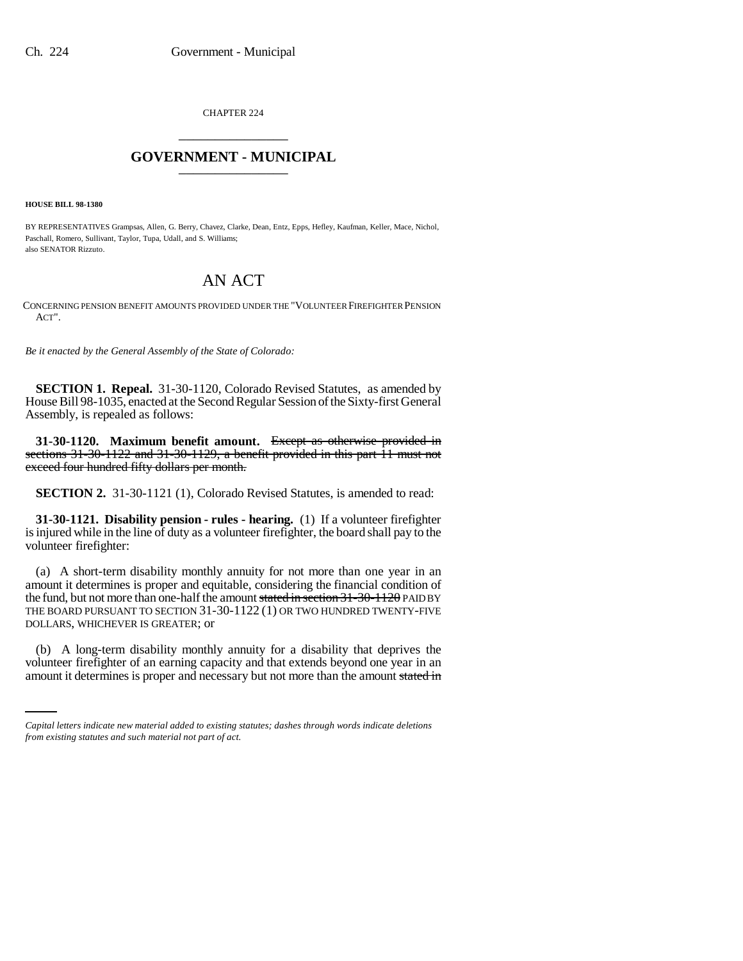CHAPTER 224 \_\_\_\_\_\_\_\_\_\_\_\_\_\_\_

## **GOVERNMENT - MUNICIPAL** \_\_\_\_\_\_\_\_\_\_\_\_\_\_\_

**HOUSE BILL 98-1380**

BY REPRESENTATIVES Grampsas, Allen, G. Berry, Chavez, Clarke, Dean, Entz, Epps, Hefley, Kaufman, Keller, Mace, Nichol, Paschall, Romero, Sullivant, Taylor, Tupa, Udall, and S. Williams; also SENATOR Rizzuto.

## AN ACT

CONCERNING PENSION BENEFIT AMOUNTS PROVIDED UNDER THE "VOLUNTEER FIREFIGHTER PENSION ACT".

*Be it enacted by the General Assembly of the State of Colorado:*

**SECTION 1. Repeal.** 31-30-1120, Colorado Revised Statutes, as amended by House Bill 98-1035, enacted at the Second Regular Session of the Sixty-first General Assembly, is repealed as follows:

**31-30-1120. Maximum benefit amount.** Except as otherwise provided in sections 31-30-1122 and 31-30-1129, a benefit provided in this part 11 must not exceed four hundred fifty dollars per month.

**SECTION 2.** 31-30-1121 (1), Colorado Revised Statutes, is amended to read:

**31-30-1121. Disability pension - rules - hearing.** (1) If a volunteer firefighter is injured while in the line of duty as a volunteer firefighter, the board shall pay to the volunteer firefighter:

(a) A short-term disability monthly annuity for not more than one year in an amount it determines is proper and equitable, considering the financial condition of the fund, but not more than one-half the amount stated in section 31-30-1120 PAID BY THE BOARD PURSUANT TO SECTION 31-30-1122 (1) OR TWO HUNDRED TWENTY-FIVE DOLLARS, WHICHEVER IS GREATER; or

(b) A long-term disability monthly annuity for a disability that deprives the volunteer firefighter of an earning capacity and that extends beyond one year in an amount it determines is proper and necessary but not more than the amount stated in

*Capital letters indicate new material added to existing statutes; dashes through words indicate deletions from existing statutes and such material not part of act.*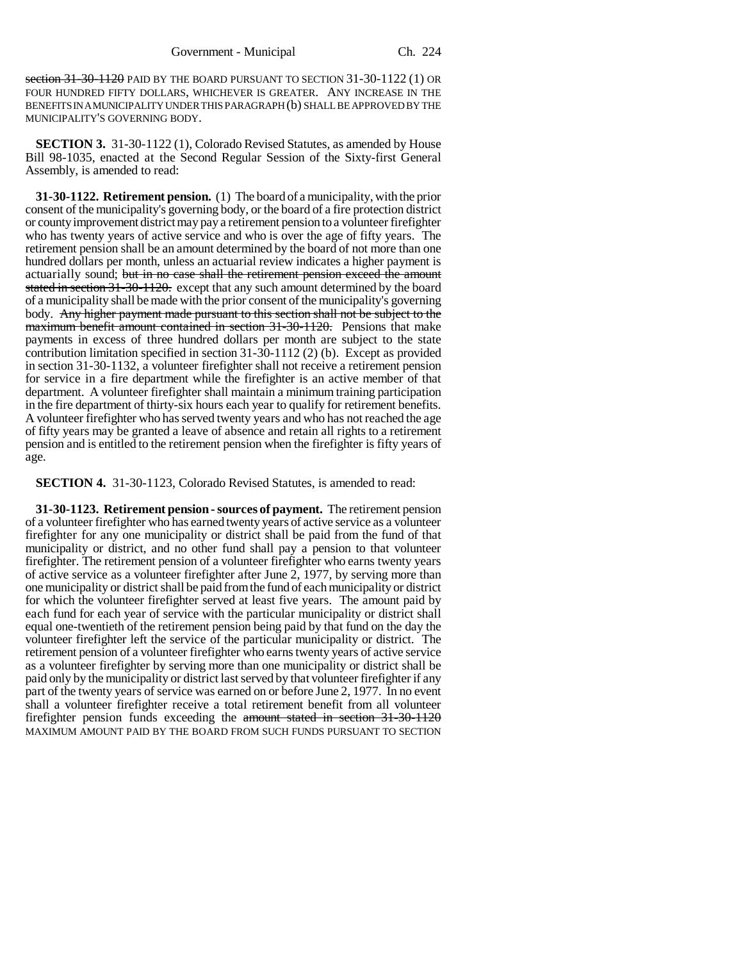section 31-30-1120 PAID BY THE BOARD PURSUANT TO SECTION 31-30-1122 (1) OR FOUR HUNDRED FIFTY DOLLARS, WHICHEVER IS GREATER. ANY INCREASE IN THE BENEFITS IN A MUNICIPALITY UNDER THIS PARAGRAPH (b) SHALL BE APPROVED BY THE MUNICIPALITY'S GOVERNING BODY.

**SECTION 3.** 31-30-1122 (1), Colorado Revised Statutes, as amended by House Bill 98-1035, enacted at the Second Regular Session of the Sixty-first General Assembly, is amended to read:

**31-30-1122. Retirement pension.** (1) The board of a municipality, with the prior consent of the municipality's governing body, or the board of a fire protection district or county improvement district may pay a retirement pension to a volunteer firefighter who has twenty years of active service and who is over the age of fifty years. The retirement pension shall be an amount determined by the board of not more than one hundred dollars per month, unless an actuarial review indicates a higher payment is actuarially sound; but in no case shall the retirement pension exceed the amount stated in section 31-30-1120. except that any such amount determined by the board of a municipality shall be made with the prior consent of the municipality's governing body. Any higher payment made pursuant to this section shall not be subject to the maximum benefit amount contained in section 31-30-1120. Pensions that make payments in excess of three hundred dollars per month are subject to the state contribution limitation specified in section 31-30-1112 (2) (b). Except as provided in section 31-30-1132, a volunteer firefighter shall not receive a retirement pension for service in a fire department while the firefighter is an active member of that department. A volunteer firefighter shall maintain a minimum training participation in the fire department of thirty-six hours each year to qualify for retirement benefits. A volunteer firefighter who has served twenty years and who has not reached the age of fifty years may be granted a leave of absence and retain all rights to a retirement pension and is entitled to the retirement pension when the firefighter is fifty years of age.

**SECTION 4.** 31-30-1123, Colorado Revised Statutes, is amended to read:

**31-30-1123. Retirement pension - sources of payment.** The retirement pension of a volunteer firefighter who has earned twenty years of active service as a volunteer firefighter for any one municipality or district shall be paid from the fund of that municipality or district, and no other fund shall pay a pension to that volunteer firefighter. The retirement pension of a volunteer firefighter who earns twenty years of active service as a volunteer firefighter after June 2, 1977, by serving more than one municipality or district shall be paid from the fund of each municipality or district for which the volunteer firefighter served at least five years. The amount paid by each fund for each year of service with the particular municipality or district shall equal one-twentieth of the retirement pension being paid by that fund on the day the volunteer firefighter left the service of the particular municipality or district. The retirement pension of a volunteer firefighter who earns twenty years of active service as a volunteer firefighter by serving more than one municipality or district shall be paid only by the municipality or district last served by that volunteer firefighter if any part of the twenty years of service was earned on or before June 2, 1977. In no event shall a volunteer firefighter receive a total retirement benefit from all volunteer firefighter pension funds exceeding the amount stated in section 31-30-1120 MAXIMUM AMOUNT PAID BY THE BOARD FROM SUCH FUNDS PURSUANT TO SECTION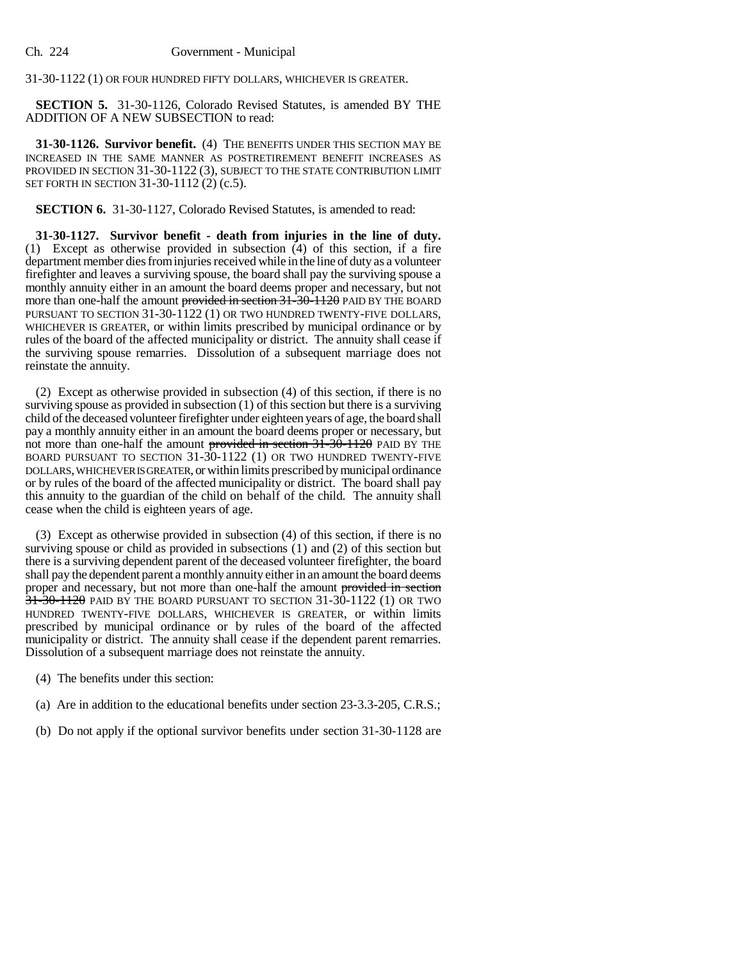31-30-1122 (1) OR FOUR HUNDRED FIFTY DOLLARS, WHICHEVER IS GREATER.

**SECTION 5.** 31-30-1126, Colorado Revised Statutes, is amended BY THE ADDITION OF A NEW SUBSECTION to read:

**31-30-1126. Survivor benefit.** (4) THE BENEFITS UNDER THIS SECTION MAY BE INCREASED IN THE SAME MANNER AS POSTRETIREMENT BENEFIT INCREASES AS PROVIDED IN SECTION 31-30-1122 (3), SUBJECT TO THE STATE CONTRIBUTION LIMIT SET FORTH IN SECTION 31-30-1112 (2) (c.5).

**SECTION 6.** 31-30-1127, Colorado Revised Statutes, is amended to read:

**31-30-1127. Survivor benefit - death from injuries in the line of duty.** (1) Except as otherwise provided in subsection (4) of this section, if a fire department member dies from injuries received while in the line of duty as a volunteer firefighter and leaves a surviving spouse, the board shall pay the surviving spouse a monthly annuity either in an amount the board deems proper and necessary, but not more than one-half the amount provided in section 31-30-1120 PAID BY THE BOARD PURSUANT TO SECTION 31-30-1122 (1) OR TWO HUNDRED TWENTY-FIVE DOLLARS, WHICHEVER IS GREATER, or within limits prescribed by municipal ordinance or by rules of the board of the affected municipality or district. The annuity shall cease if the surviving spouse remarries. Dissolution of a subsequent marriage does not reinstate the annuity.

(2) Except as otherwise provided in subsection (4) of this section, if there is no surviving spouse as provided in subsection (1) of this section but there is a surviving child of the deceased volunteer firefighter under eighteen years of age, the board shall pay a monthly annuity either in an amount the board deems proper or necessary, but not more than one-half the amount provided in section  $31-30-1120$  PAID BY THE BOARD PURSUANT TO SECTION 31-30-1122 (1) OR TWO HUNDRED TWENTY-FIVE DOLLARS, WHICHEVER IS GREATER, or within limits prescribed by municipal ordinance or by rules of the board of the affected municipality or district. The board shall pay this annuity to the guardian of the child on behalf of the child. The annuity shall cease when the child is eighteen years of age.

(3) Except as otherwise provided in subsection (4) of this section, if there is no surviving spouse or child as provided in subsections (1) and (2) of this section but there is a surviving dependent parent of the deceased volunteer firefighter, the board shall pay the dependent parent a monthly annuity either in an amount the board deems proper and necessary, but not more than one-half the amount provided in section  $31-30-1120$  PAID BY THE BOARD PURSUANT TO SECTION 31-30-1122 (1) OR TWO HUNDRED TWENTY-FIVE DOLLARS, WHICHEVER IS GREATER, or within limits prescribed by municipal ordinance or by rules of the board of the affected municipality or district. The annuity shall cease if the dependent parent remarries. Dissolution of a subsequent marriage does not reinstate the annuity.

(4) The benefits under this section:

- (a) Are in addition to the educational benefits under section 23-3.3-205, C.R.S.;
- (b) Do not apply if the optional survivor benefits under section 31-30-1128 are